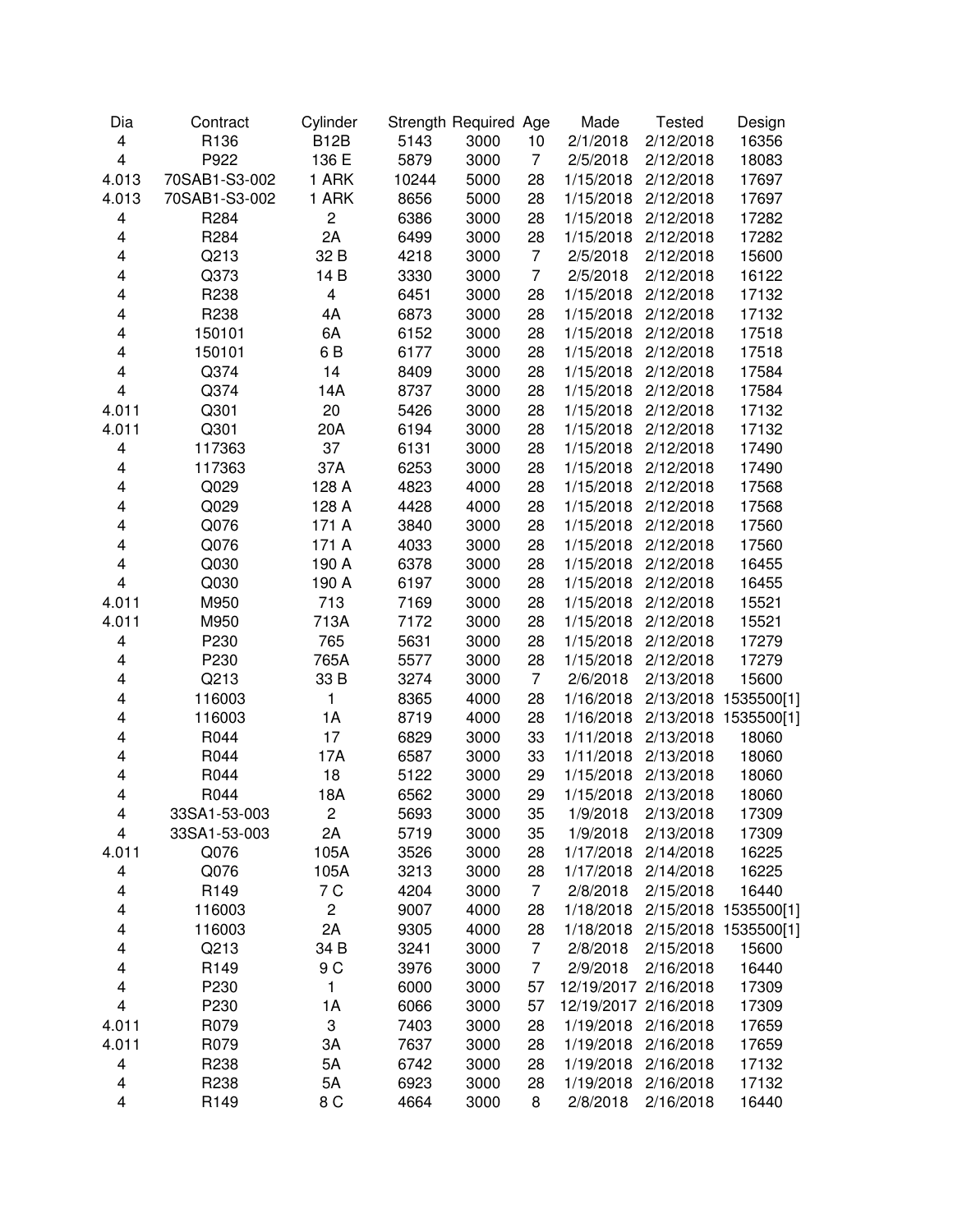| Dia                     | Contract       | Cylinder                |       | Strength Required Age |                      | Made                 | <b>Tested</b> | Design               |
|-------------------------|----------------|-------------------------|-------|-----------------------|----------------------|----------------------|---------------|----------------------|
| 4                       | R136           | <b>B12B</b>             | 5143  | 3000                  | 10                   | 2/1/2018             | 2/12/2018     | 16356                |
| $\overline{\mathbf{4}}$ | P922           | 136 E                   | 5879  | 3000                  | $\overline{7}$       | 2/5/2018             | 2/12/2018     | 18083                |
| 4.013                   | 70SAB1-S3-002  | 1 ARK                   | 10244 | 5000                  | 28                   | 1/15/2018            | 2/12/2018     | 17697                |
| 4.013                   | 70SAB1-S3-002  | 1 ARK                   | 8656  | 5000                  | 28                   | 1/15/2018            | 2/12/2018     | 17697                |
| 4                       | R284           | $\overline{c}$          | 6386  | 3000                  | 28                   | 1/15/2018            | 2/12/2018     | 17282                |
| 4                       | R284           | 2A                      | 6499  | 3000                  | 28                   | 1/15/2018            | 2/12/2018     | 17282                |
| 4                       | Q213           | 32 B                    | 4218  | 3000                  | $\overline{7}$       | 2/5/2018             | 2/12/2018     | 15600                |
| 4                       | Q373           | 14 B                    | 3330  | 3000                  | $\overline{7}$       | 2/5/2018             | 2/12/2018     | 16122                |
| 4                       | R238           | $\overline{\mathbf{4}}$ | 6451  | 3000                  | 28                   | 1/15/2018            | 2/12/2018     | 17132                |
| 4                       | R238           | 4A                      | 6873  | 3000                  | 28                   | 1/15/2018            | 2/12/2018     | 17132                |
| 4                       | 150101         | 6A                      | 6152  | 3000                  | 28                   | 1/15/2018            | 2/12/2018     | 17518                |
| 4                       | 150101         | 6 B                     | 6177  | 3000                  | 28                   | 1/15/2018            | 2/12/2018     | 17518                |
| 4                       | Q374           | 14                      | 8409  | 3000                  | 28                   | 1/15/2018            | 2/12/2018     | 17584                |
| $\overline{\mathbf{4}}$ | Q374           | 14A                     | 8737  | 3000                  | 28                   | 1/15/2018            | 2/12/2018     | 17584                |
| 4.011                   | Q301           | 20                      | 5426  | 3000                  | 28                   | 1/15/2018            | 2/12/2018     | 17132                |
| 4.011                   | Q301           | 20A                     | 6194  | 3000                  | 28                   | 1/15/2018            | 2/12/2018     | 17132                |
| 4                       | 117363         | 37                      | 6131  | 3000                  | 28                   | 1/15/2018            | 2/12/2018     | 17490                |
| 4                       | 117363         | 37A                     | 6253  | 3000                  | 28                   | 1/15/2018            | 2/12/2018     | 17490                |
| 4                       | Q029           | 128 A                   | 4823  | 4000                  | 28                   | 1/15/2018            | 2/12/2018     | 17568                |
| 4                       | Q029           | 128 A                   | 4428  | 4000                  | 28                   | 1/15/2018            | 2/12/2018     | 17568                |
| 4                       | Q076           | 171 A                   | 3840  | 3000                  | 28                   | 1/15/2018            | 2/12/2018     | 17560                |
| 4                       | Q076           | 171 A                   | 4033  | 3000                  | 28                   | 1/15/2018            | 2/12/2018     | 17560                |
| 4                       | Q030           | 190 A                   | 6378  | 3000                  | 28                   | 1/15/2018            | 2/12/2018     | 16455                |
| 4                       | Q030           | 190 A                   | 6197  | 3000                  | 28                   | 1/15/2018            | 2/12/2018     | 16455                |
| 4.011                   | M950           | 713                     | 7169  | 3000                  | 28                   | 1/15/2018            | 2/12/2018     | 15521                |
| 4.011                   | M950           | 713A                    | 7172  | 3000                  | 28                   | 1/15/2018            | 2/12/2018     | 15521                |
| 4                       | P230           | 765                     | 5631  | 3000                  | 28                   | 1/15/2018            | 2/12/2018     | 17279                |
|                         |                | 765A                    |       |                       |                      |                      | 2/12/2018     | 17279                |
| 4<br>4                  | P230           |                         | 5577  | 3000                  | 28<br>$\overline{7}$ | 1/15/2018            |               |                      |
|                         | Q213           | 33 B                    | 3274  | 3000                  |                      | 2/6/2018             | 2/13/2018     | 15600                |
| 4                       | 116003         | 1                       | 8365  | 4000                  | 28                   | 1/16/2018            |               | 2/13/2018 1535500[1] |
| 4                       | 116003<br>R044 | 1A                      | 8719  | 4000                  | 28                   | 1/16/2018            |               | 2/13/2018 1535500[1] |
| 4                       |                | 17                      | 6829  | 3000                  | 33                   | 1/11/2018            | 2/13/2018     | 18060                |
| 4                       | R044           | 17A                     | 6587  | 3000                  | 33                   | 1/11/2018            | 2/13/2018     | 18060                |
| 4                       | R044           | 18                      | 5122  | 3000                  | 29                   | 1/15/2018            | 2/13/2018     | 18060                |
| 4                       | R044           | 18A                     | 6562  | 3000                  | 29                   | 1/15/2018            | 2/13/2018     | 18060                |
| 4                       | 33SA1-53-003   | 2                       | 5693  | 3000                  | 35                   | 1/9/2018             | 2/13/2018     | 17309                |
| 4                       | 33SA1-53-003   | 2A                      | 5719  | 3000                  | 35                   | 1/9/2018             | 2/13/2018     | 17309                |
| 4.011                   | Q076           | 105A                    | 3526  | 3000                  | 28                   | 1/17/2018            | 2/14/2018     | 16225                |
| 4                       | Q076           | 105A                    | 3213  | 3000                  | 28                   | 1/17/2018            | 2/14/2018     | 16225                |
| 4                       | R149           | 7 C                     | 4204  | 3000                  | $\overline{7}$       | 2/8/2018             | 2/15/2018     | 16440                |
| 4                       | 116003         | $\overline{c}$          | 9007  | 4000                  | 28                   | 1/18/2018            |               | 2/15/2018 1535500[1] |
| 4                       | 116003         | 2A                      | 9305  | 4000                  | 28                   | 1/18/2018            |               | 2/15/2018 1535500[1] |
| 4                       | Q213           | 34 B                    | 3241  | 3000                  | $\overline{7}$       | 2/8/2018             | 2/15/2018     | 15600                |
| 4                       | R149           | 9 C                     | 3976  | 3000                  | 7                    | 2/9/2018             | 2/16/2018     | 16440                |
| 4                       | P230           | 1                       | 6000  | 3000                  | 57                   | 12/19/2017 2/16/2018 |               | 17309                |
| 4                       | P230           | 1A                      | 6066  | 3000                  | 57                   | 12/19/2017 2/16/2018 |               | 17309                |
| 4.011                   | R079           | 3                       | 7403  | 3000                  | 28                   | 1/19/2018            | 2/16/2018     | 17659                |
| 4.011                   | R079           | ЗA                      | 7637  | 3000                  | 28                   | 1/19/2018            | 2/16/2018     | 17659                |
| 4                       | R238           | 5A                      | 6742  | 3000                  | 28                   | 1/19/2018            | 2/16/2018     | 17132                |
| 4                       | R238           | 5A                      | 6923  | 3000                  | 28                   | 1/19/2018            | 2/16/2018     | 17132                |
| $\overline{\mathbf{4}}$ | R149           | 8 <sub>C</sub>          | 4664  | 3000                  | 8                    | 2/8/2018             | 2/16/2018     | 16440                |